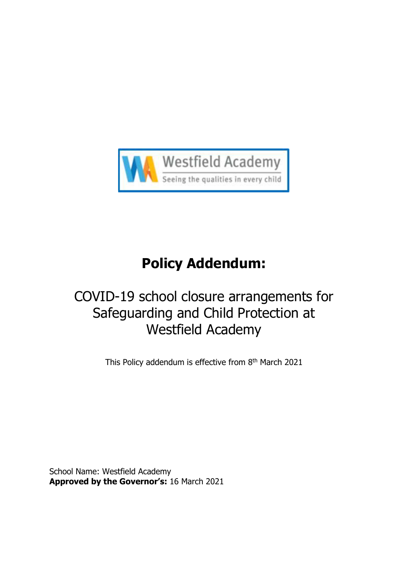

# **Policy Addendum:**

# COVID-19 school closure arrangements for Safeguarding and Child Protection at Westfield Academy

This Policy addendum is effective from 8<sup>th</sup> March 2021

<span id="page-0-0"></span>School Name: Westfield Academy **Approved by the Governor's:** 16 March 2021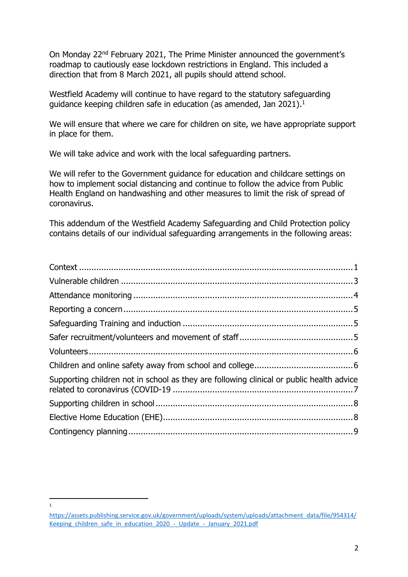On Monday 22nd February 2021, The Prime Minister announced the government's roadmap to cautiously ease lockdown restrictions in England. This included a direction that from 8 March 2021, all pupils should attend school.

Westfield Academy will continue to have regard to the statutory safeguarding guidance keeping children safe in education (as amended, Jan 2021).<sup>1</sup>

We will ensure that where we care for children on site, we have appropriate support in place for them.

We will take advice and work with the local safeguarding partners.

We will refer to the Government guidance for education and childcare settings on how to implement social distancing and continue to follow the advice from Public Health England on handwashing and other measures to limit the risk of spread of coronavirus.

This addendum of the Westfield Academy Safeguarding and Child Protection policy contains details of our individual safeguarding arrangements in the following areas:

| Supporting children not in school as they are following clinical or public health advice |  |
|------------------------------------------------------------------------------------------|--|
|                                                                                          |  |
|                                                                                          |  |
|                                                                                          |  |

 $\overline{1}$ 

[https://assets.publishing.service.gov.uk/government/uploads/system/uploads/attachment\\_data/file/954314/](https://assets.publishing.service.gov.uk/government/uploads/system/uploads/attachment_data/file/954314/Keeping_children_safe_in_education_2020_-_Update_-_January_2021.pdf) Keeping children safe in education 2020 - Update - January 2021.pdf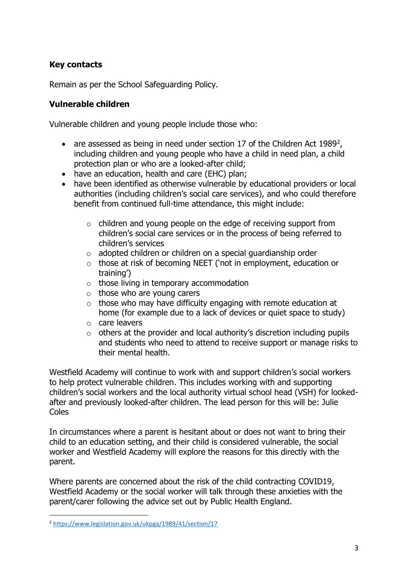## **Key contacts**

Remain as per the School Safeguarding Policy.

#### <span id="page-2-0"></span>**Vulnerable children**

Vulnerable children and young people include those who:

- are assessed as being in need under section 17 of the Children Act 1989<sup>2</sup>, including children and young people who have a child in need plan, a child protection plan or who are a looked-after child;
- have an education, health and care (EHC) plan;
- have been identified as otherwise vulnerable by educational providers or local authorities (including children's social care services), and who could therefore benefit from continued full-time attendance, this might include:
	- o children and young people on the edge of receiving support from children's social care services or in the process of being referred to children's services
	- $\circ$  adopted children or children on a special guardianship order
	- o those at risk of becoming NEET ('not in employment, education or training')
	- $\circ$  those living in temporary accommodation
	- $\circ$  those who are young carers
	- $\circ$  those who may have difficulty engaging with remote education at home (for example due to a lack of devices or quiet space to study)
	- o care leavers
	- $\circ$  others at the provider and local authority's discretion including pupils and students who need to attend to receive support or manage risks to their mental health.

Westfield Academy will continue to work with and support children's social workers to help protect vulnerable children. This includes working with and supporting children's social workers and the local authority virtual school head (VSH) for lookedafter and previously looked-after children. The lead person for this will be: Julie Coles

In circumstances where a parent is hesitant about or does not want to bring their child to an education setting, and their child is considered vulnerable, the social worker and Westfield Academy will explore the reasons for this directly with the parent.

Where parents are concerned about the risk of the child contracting COVID19, Westfield Academy or the social worker will talk through these anxieties with the parent/carer following the advice set out by Public Health England.

 $\overline{a}$ 

<sup>2</sup> <https://www.legislation.gov.uk/ukpga/1989/41/section/17>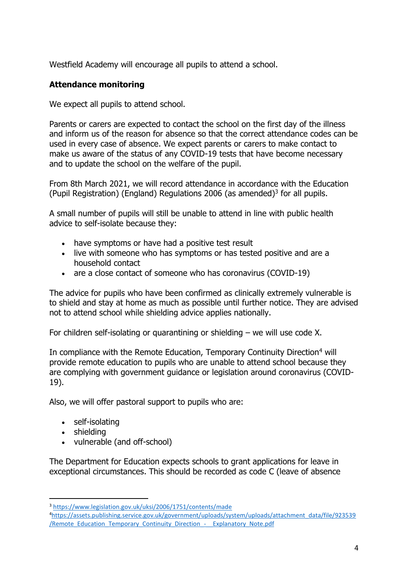Westfield Academy will encourage all pupils to attend a school.

## <span id="page-3-0"></span>**Attendance monitoring**

We expect all pupils to attend school.

Parents or carers are expected to contact the school on the first day of the illness and inform us of the reason for absence so that the correct attendance codes can be used in every case of absence. We expect parents or carers to make contact to make us aware of the status of any COVID-19 tests that have become necessary and to update the school on the welfare of the pupil.

From 8th March 2021, we will record attendance in accordance with the Education (Pupil Registration) (England) Regulations 2006 (as amended)<sup>3</sup> for all pupils.

A small number of pupils will still be unable to attend in line with public health advice to self-isolate because they:

- have symptoms or have had a positive test result
- live with someone who has symptoms or has tested positive and are a household contact
- are a close contact of someone who has coronavirus (COVID-19)

The advice for pupils who have been confirmed as clinically extremely vulnerable is to shield and stay at home as much as possible until further notice. They are advised not to attend school while shielding advice applies nationally.

For children self-isolating or quarantining or shielding – we will use code X.

In compliance with the Remote Education, Temporary Continuity Direction<sup>4</sup> will provide remote education to pupils who are unable to attend school because they are complying with government guidance or legislation around coronavirus (COVID-19).

Also, we will offer pastoral support to pupils who are:

- self-isolating
- shielding

 $\overline{a}$ 

• vulnerable (and off-school)

The Department for Education expects schools to grant applications for leave in exceptional circumstances. This should be recorded as code C (leave of absence

<sup>3</sup> <https://www.legislation.gov.uk/uksi/2006/1751/contents/made>

<sup>4</sup>[https://assets.publishing.service.gov.uk/government/uploads/system/uploads/attachment\\_data/file/923539](https://assets.publishing.service.gov.uk/government/uploads/system/uploads/attachment_data/file/923539/Remote_Education_Temporary_Continuity_Direction_-__Explanatory_Note.pdf) [/Remote\\_Education\\_Temporary\\_Continuity\\_Direction\\_-\\_\\_Explanatory\\_Note.pdf](https://assets.publishing.service.gov.uk/government/uploads/system/uploads/attachment_data/file/923539/Remote_Education_Temporary_Continuity_Direction_-__Explanatory_Note.pdf)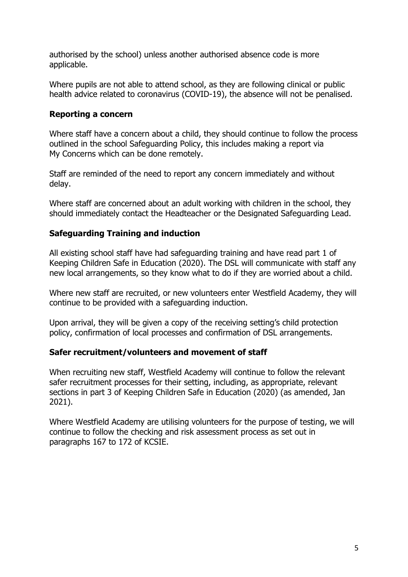authorised by the school) unless another authorised absence code is more applicable.

Where pupils are not able to attend school, as they are following clinical or public health advice related to coronavirus (COVID-19), the absence will not be penalised.

#### <span id="page-4-0"></span>**Reporting a concern**

Where staff have a concern about a child, they should continue to follow the process outlined in the school Safeguarding Policy, this includes making a report via My Concerns which can be done remotely.

Staff are reminded of the need to report any concern immediately and without delay.

Where staff are concerned about an adult working with children in the school, they should immediately contact the Headteacher or the Designated Safeguarding Lead.

#### <span id="page-4-1"></span>**Safeguarding Training and induction**

All existing school staff have had safeguarding training and have read part 1 of Keeping Children Safe in Education (2020). The DSL will communicate with staff any new local arrangements, so they know what to do if they are worried about a child.

Where new staff are recruited, or new volunteers enter Westfield Academy, they will continue to be provided with a safeguarding induction.

Upon arrival, they will be given a copy of the receiving setting's child protection policy, confirmation of local processes and confirmation of DSL arrangements.

#### <span id="page-4-2"></span>**Safer recruitment/volunteers and movement of staff**

When recruiting new staff, Westfield Academy will continue to follow the relevant safer recruitment processes for their setting, including, as appropriate, relevant sections in part 3 of Keeping Children Safe in Education (2020) (as amended, Jan 2021).

Where Westfield Academy are utilising volunteers for the purpose of testing, we will continue to follow the checking and risk assessment process as set out in paragraphs 167 to 172 of KCSIE.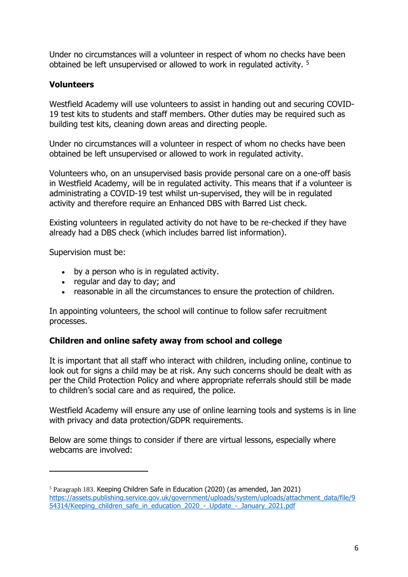Under no circumstances will a volunteer in respect of whom no checks have been obtained be left unsupervised or allowed to work in regulated activity. <sup>5</sup>

#### <span id="page-5-0"></span>**Volunteers**

Westfield Academy will use volunteers to assist in handing out and securing COVID-19 test kits to students and staff members. Other duties may be required such as building test kits, cleaning down areas and directing people.

Under no circumstances will a volunteer in respect of whom no checks have been obtained be left unsupervised or allowed to work in regulated activity.

Volunteers who, on an unsupervised basis provide personal care on a one-off basis in Westfield Academy, will be in regulated activity. This means that if a volunteer is administrating a COVID-19 test whilst un-supervised, they will be in regulated activity and therefore require an Enhanced DBS with Barred List check.

Existing volunteers in regulated activity do not have to be re-checked if they have already had a DBS check (which includes barred list information).

Supervision must be:

 $\overline{a}$ 

- by a person who is in regulated activity.
- regular and day to day; and
- reasonable in all the circumstances to ensure the protection of children.

In appointing volunteers, the school will continue to follow safer recruitment processes.

#### <span id="page-5-1"></span>**Children and online safety away from school and college**

It is important that all staff who interact with children, including online, continue to look out for signs a child may be at risk. Any such concerns should be dealt with as per the Child Protection Policy and where appropriate referrals should still be made to children's social care and as required, the police.

Westfield Academy will ensure any use of online learning tools and systems is in line with privacy and data protection/GDPR requirements.

Below are some things to consider if there are virtual lessons, especially where webcams are involved:

<sup>5</sup> Paragraph 183. Keeping Children Safe in Education (2020) (as amended, Jan 2021) [https://assets.publishing.service.gov.uk/government/uploads/system/uploads/attachment\\_data/file/9](https://assets.publishing.service.gov.uk/government/uploads/system/uploads/attachment_data/file/954314/Keeping_children_safe_in_education_2020_-_Update_-_January_2021.pdf) [54314/Keeping\\_children\\_safe\\_in\\_education\\_2020\\_-\\_Update\\_-\\_January\\_2021.pdf](https://assets.publishing.service.gov.uk/government/uploads/system/uploads/attachment_data/file/954314/Keeping_children_safe_in_education_2020_-_Update_-_January_2021.pdf)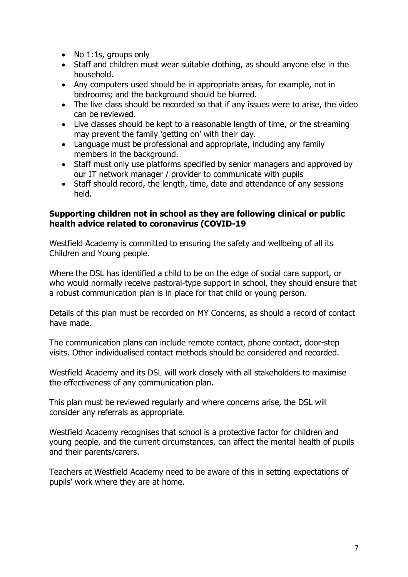- No 1:1s, groups only
- Staff and children must wear suitable clothing, as should anyone else in the household.
- Any computers used should be in appropriate areas, for example, not in bedrooms; and the background should be blurred.
- The live class should be recorded so that if any issues were to arise, the video can be reviewed.
- Live classes should be kept to a reasonable length of time, or the streaming may prevent the family 'getting on' with their day.
- Language must be professional and appropriate, including any family members in the background.
- Staff must only use platforms specified by senior managers and approved by our IT network manager / provider to communicate with pupils
- Staff should record, the length, time, date and attendance of any sessions held.

#### <span id="page-6-0"></span>**Supporting children not in school as they are following clinical or public health advice related to coronavirus (COVID-19**

Westfield Academy is committed to ensuring the safety and wellbeing of all its Children and Young people.

Where the DSL has identified a child to be on the edge of social care support, or who would normally receive pastoral-type support in school, they should ensure that a robust communication plan is in place for that child or young person.

Details of this plan must be recorded on MY Concerns, as should a record of contact have made.

The communication plans can include remote contact, phone contact, door-step visits. Other individualised contact methods should be considered and recorded.

Westfield Academy and its DSL will work closely with all stakeholders to maximise the effectiveness of any communication plan.

This plan must be reviewed regularly and where concerns arise, the DSL will consider any referrals as appropriate.

Westfield Academy recognises that school is a protective factor for children and young people, and the current circumstances, can affect the mental health of pupils and their parents/carers.

Teachers at Westfield Academy need to be aware of this in setting expectations of pupils' work where they are at home.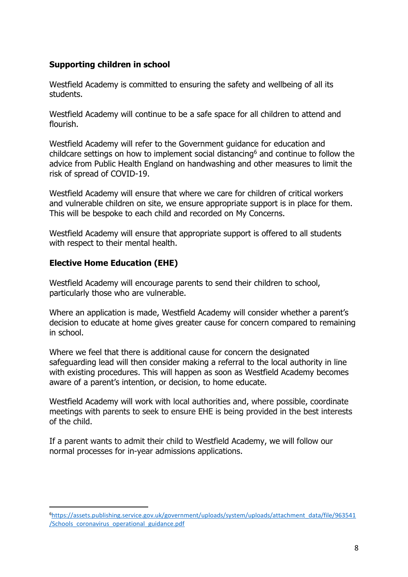#### <span id="page-7-0"></span>**Supporting children in school**

Westfield Academy is committed to ensuring the safety and wellbeing of all its students.

Westfield Academy will continue to be a safe space for all children to attend and flourish.

Westfield Academy will refer to the Government guidance for education and childcare settings on how to implement social distancing<sup>6</sup> and continue to follow the advice from Public Health England on handwashing and other measures to limit the risk of spread of COVID-19.

Westfield Academy will ensure that where we care for children of critical workers and vulnerable children on site, we ensure appropriate support is in place for them. This will be bespoke to each child and recorded on My Concerns.

Westfield Academy will ensure that appropriate support is offered to all students with respect to their mental health.

#### <span id="page-7-1"></span>**Elective Home Education (EHE)**

 $\overline{a}$ 

Westfield Academy will encourage parents to send their children to school, particularly those who are vulnerable.

Where an application is made, Westfield Academy will consider whether a parent's decision to educate at home gives greater cause for concern compared to remaining in school.

Where we feel that there is additional cause for concern the designated safeguarding lead will then consider making a referral to the local authority in line with existing procedures. This will happen as soon as Westfield Academy becomes aware of a parent's intention, or decision, to home educate.

Westfield Academy will work with local authorities and, where possible, coordinate meetings with parents to seek to ensure EHE is being provided in the best interests of the child.

If a parent wants to admit their child to Westfield Academy, we will follow our normal processes for in-year admissions applications.

<sup>6</sup>[https://assets.publishing.service.gov.uk/government/uploads/system/uploads/attachment\\_data/file/963541](https://assets.publishing.service.gov.uk/government/uploads/system/uploads/attachment_data/file/963541/Schools_coronavirus_operational_guidance.pdf) [/Schools\\_coronavirus\\_operational\\_guidance.pdf](https://assets.publishing.service.gov.uk/government/uploads/system/uploads/attachment_data/file/963541/Schools_coronavirus_operational_guidance.pdf)